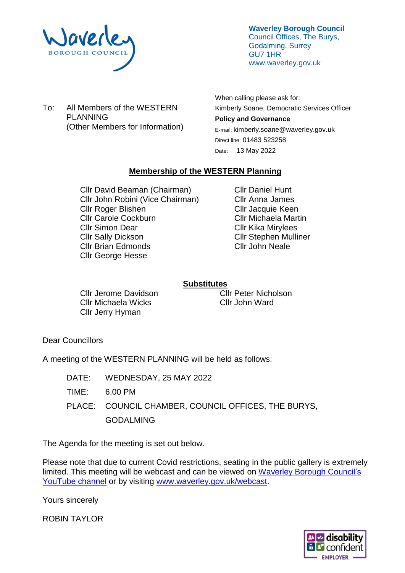

**Waverley Borough Council** Council Offices, The Burys, Godalming, Surrey GU7 1HR www.waverley.gov.uk

To: All Members of the WESTERN PLANNING (Other Members for Information) When calling please ask for: Kimberly Soane, Democratic Services Officer **Policy and Governance**  E-mail: kimberly.soane@waverley.gov.uk Direct line: 01483 523258 Date: 13 May 2022

## **Membership of the WESTERN Planning**

Cllr David Beaman (Chairman) Cllr John Robini (Vice Chairman) Cllr Roger Blishen Cllr Carole Cockburn Cllr Simon Dear Cllr Sally Dickson Cllr Brian Edmonds Cllr George Hesse

Cllr Daniel Hunt Cllr Anna James Cllr Jacquie Keen Cllr Michaela Martin Cllr Kika Mirylees Cllr Stephen Mulliner Cllr John Neale

# **Substitutes**

Cllr Jerome Davidson Cllr Michaela Wicks Cllr Jerry Hyman

Cllr Peter Nicholson Cllr John Ward

Dear Councillors

A meeting of the WESTERN PLANNING will be held as follows:

DATE: WEDNESDAY, 25 MAY 2022 TIME: 6.00 PM PLACE: COUNCIL CHAMBER, COUNCIL OFFICES, THE BURYS,

GODALMING

The Agenda for the meeting is set out below.

Please note that due to current Covid restrictions, seating in the public gallery is extremely limited. This meeting will be webcast and can be viewed on Waverley Borough Council's [YouTube channel](https://www.youtube.com/user/WaverleyBorough/videos) or by visiting [www.waverley.gov.uk/webcast.](http://www.waverley.gov.uk/webcast)

Yours sincerely

ROBIN TAYLOR

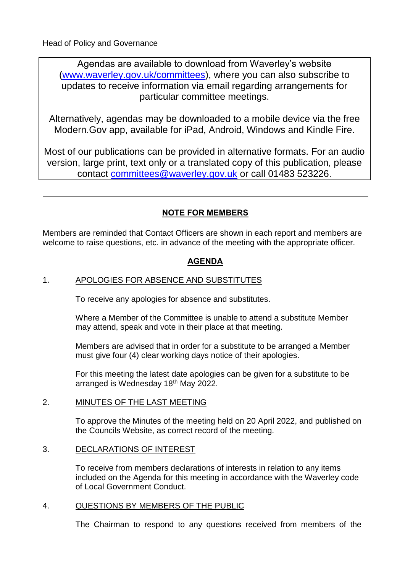Agendas are available to download from Waverley's website [\(www.waverley.gov.uk/committees\)](http://www.waverley.gov.uk/committees), where you can also subscribe to updates to receive information via email regarding arrangements for particular committee meetings.

Alternatively, agendas may be downloaded to a mobile device via the free Modern.Gov app, available for iPad, Android, Windows and Kindle Fire.

Most of our publications can be provided in alternative formats. For an audio version, large print, text only or a translated copy of this publication, please contact [committees@waverley.gov.uk](mailto:committees@waverley.gov.uk) or call 01483 523226.

# **NOTE FOR MEMBERS**

Members are reminded that Contact Officers are shown in each report and members are welcome to raise questions, etc. in advance of the meeting with the appropriate officer.

# **AGENDA**

# 1. APOLOGIES FOR ABSENCE AND SUBSTITUTES

To receive any apologies for absence and substitutes.

Where a Member of the Committee is unable to attend a substitute Member may attend, speak and vote in their place at that meeting.

Members are advised that in order for a substitute to be arranged a Member must give four (4) clear working days notice of their apologies.

For this meeting the latest date apologies can be given for a substitute to be arranged is Wednesday 18<sup>th</sup> May 2022.

## 2. MINUTES OF THE LAST MEETING

To approve the Minutes of the meeting held on 20 April 2022, and published on the Councils Website, as correct record of the meeting.

## 3. DECLARATIONS OF INTEREST

To receive from members declarations of interests in relation to any items included on the Agenda for this meeting in accordance with the Waverley code of Local Government Conduct.

## 4. QUESTIONS BY MEMBERS OF THE PUBLIC

The Chairman to respond to any questions received from members of the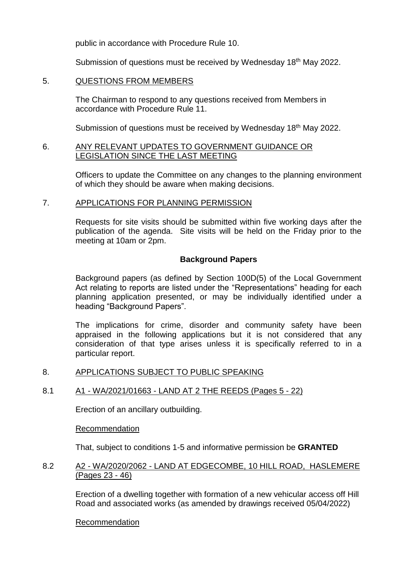public in accordance with Procedure Rule 10.

Submission of questions must be received by Wednesday 18<sup>th</sup> May 2022.

## 5. QUESTIONS FROM MEMBERS

The Chairman to respond to any questions received from Members in accordance with Procedure Rule 11.

Submission of questions must be received by Wednesday 18<sup>th</sup> May 2022.

## 6. ANY RELEVANT UPDATES TO GOVERNMENT GUIDANCE OR LEGISLATION SINCE THE LAST MEETING

Officers to update the Committee on any changes to the planning environment of which they should be aware when making decisions.

## 7. APPLICATIONS FOR PLANNING PERMISSION

Requests for site visits should be submitted within five working days after the publication of the agenda. Site visits will be held on the Friday prior to the meeting at 10am or 2pm.

## **Background Papers**

Background papers (as defined by Section 100D(5) of the Local Government Act relating to reports are listed under the "Representations" heading for each planning application presented, or may be individually identified under a heading "Background Papers".

The implications for crime, disorder and community safety have been appraised in the following applications but it is not considered that any consideration of that type arises unless it is specifically referred to in a particular report.

## 8. APPLICATIONS SUBJECT TO PUBLIC SPEAKING

# 8.1 A1 - WA/2021/01663 - LAND AT 2 THE REEDS (Pages 5 - 22)

Erection of an ancillary outbuilding.

## Recommendation

That, subject to conditions 1-5 and informative permission be **GRANTED**

## 8.2 A2 - WA/2020/2062 - LAND AT EDGECOMBE, 10 HILL ROAD, HASLEMERE (Pages 23 - 46)

Erection of a dwelling together with formation of a new vehicular access off Hill Road and associated works (as amended by drawings received 05/04/2022)

## Recommendation